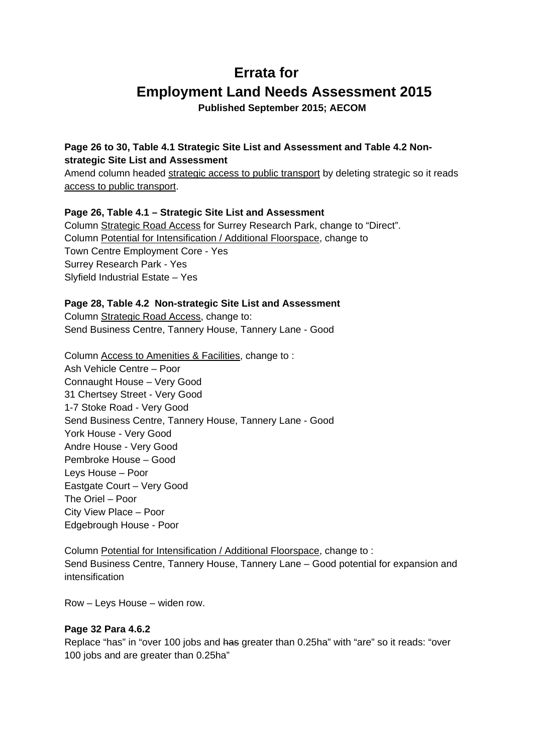# **Errata for Employment Land Needs Assessment 2015**

**Published September 2015; AECOM** 

## **Page 26 to 30, Table 4.1 Strategic Site List and Assessment and Table 4.2 Nonstrategic Site List and Assessment**

Amend column headed strategic access to public transport by deleting strategic so it reads access to public transport.

## **Page 26, Table 4.1 – Strategic Site List and Assessment**

Column Strategic Road Access for Surrey Research Park, change to "Direct". Column Potential for Intensification / Additional Floorspace, change to Town Centre Employment Core - Yes Surrey Research Park - Yes Slyfield Industrial Estate – Yes

#### **Page 28, Table 4.2 Non-strategic Site List and Assessment**

Column Strategic Road Access, change to: Send Business Centre, Tannery House, Tannery Lane - Good

Column Access to Amenities & Facilities, change to : Ash Vehicle Centre – Poor Connaught House – Very Good 31 Chertsey Street - Very Good 1-7 Stoke Road - Very Good Send Business Centre, Tannery House, Tannery Lane - Good York House - Very Good Andre House - Very Good Pembroke House – Good Leys House – Poor Eastgate Court – Very Good The Oriel – Poor City View Place – Poor Edgebrough House - Poor

Column Potential for Intensification / Additional Floorspace, change to : Send Business Centre, Tannery House, Tannery Lane – Good potential for expansion and intensification

Row – Leys House – widen row.

#### **Page 32 Para 4.6.2**

Replace "has" in "over 100 jobs and has greater than 0.25ha" with "are" so it reads: "over 100 jobs and are greater than 0.25ha"